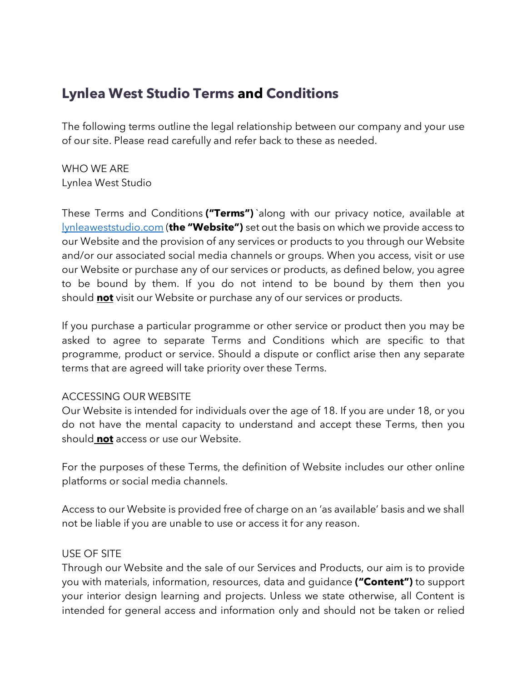# **Lynlea West Studio Terms and Conditions**

The following terms outline the legal relationship between our company and your use of our site. Please read carefully and refer back to these as needed.

WHO WE ARE Lynlea West Studio

These Terms and Conditions **("Terms")** `along with our privacy notice, available at lynleaweststudio.com (**the "Website")** set out the basis on which we provide access to our Website and the provision of any services or products to you through our Website and/or our associated social media channels or groups. When you access, visit or use our Website or purchase any of our services or products, as defined below, you agree to be bound by them. If you do not intend to be bound by them then you should **not** visit our Website or purchase any of our services or products.

If you purchase a particular programme or other service or product then you may be asked to agree to separate Terms and Conditions which are specific to that programme, product or service. Should a dispute or conflict arise then any separate terms that are agreed will take priority over these Terms.

#### ACCESSING OUR WEBSITE

Our Website is intended for individuals over the age of 18. If you are under 18, or you do not have the mental capacity to understand and accept these Terms, then you should **not** access or use our Website.

For the purposes of these Terms, the definition of Website includes our other online platforms or social media channels.

Access to our Website is provided free of charge on an 'as available' basis and we shall not be liable if you are unable to use or access it for any reason.

#### USE OF SITE

Through our Website and the sale of our Services and Products, our aim is to provide you with materials, information, resources, data and guidance **("Content")** to support your interior design learning and projects. Unless we state otherwise, all Content is intended for general access and information only and should not be taken or relied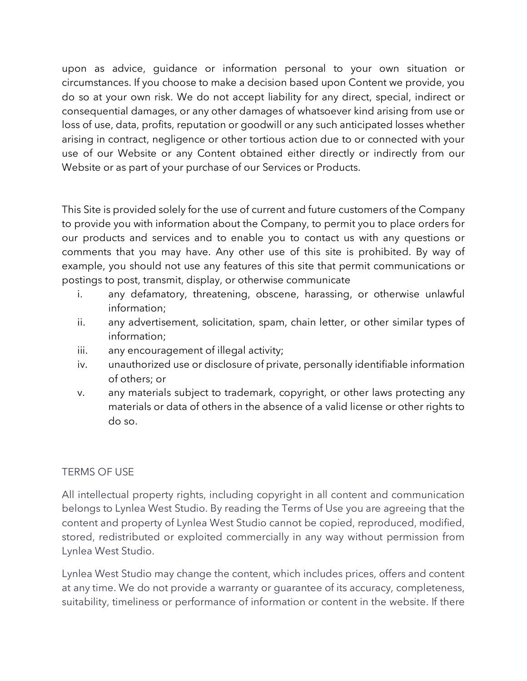upon as advice, guidance or information personal to your own situation or circumstances. If you choose to make a decision based upon Content we provide, you do so at your own risk. We do not accept liability for any direct, special, indirect or consequential damages, or any other damages of whatsoever kind arising from use or loss of use, data, profits, reputation or goodwill or any such anticipated losses whether arising in contract, negligence or other tortious action due to or connected with your use of our Website or any Content obtained either directly or indirectly from our Website or as part of your purchase of our Services or Products.

This Site is provided solely for the use of current and future customers of the Company to provide you with information about the Company, to permit you to place orders for our products and services and to enable you to contact us with any questions or comments that you may have. Any other use of this site is prohibited. By way of example, you should not use any features of this site that permit communications or postings to post, transmit, display, or otherwise communicate

- i. any defamatory, threatening, obscene, harassing, or otherwise unlawful information;
- ii. any advertisement, solicitation, spam, chain letter, or other similar types of information;
- iii. any encouragement of illegal activity;
- iv. unauthorized use or disclosure of private, personally identifiable information of others; or
- v. any materials subject to trademark, copyright, or other laws protecting any materials or data of others in the absence of a valid license or other rights to do so.

## TERMS OF USE

All intellectual property rights, including copyright in all content and communication belongs to Lynlea West Studio. By reading the Terms of Use you are agreeing that the content and property of Lynlea West Studio cannot be copied, reproduced, modified, stored, redistributed or exploited commercially in any way without permission from Lynlea West Studio.

Lynlea West Studio may change the content, which includes prices, offers and content at any time. We do not provide a warranty or guarantee of its accuracy, completeness, suitability, timeliness or performance of information or content in the website. If there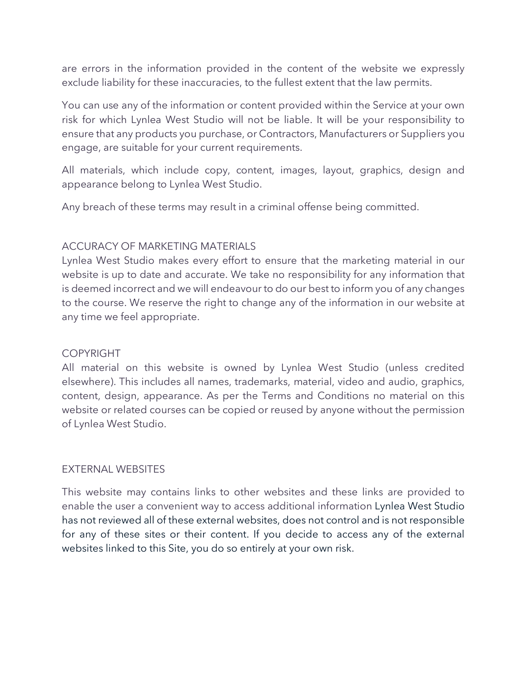are errors in the information provided in the content of the website we expressly exclude liability for these inaccuracies, to the fullest extent that the law permits.

You can use any of the information or content provided within the Service at your own risk for which Lynlea West Studio will not be liable. It will be your responsibility to ensure that any products you purchase, or Contractors, Manufacturers or Suppliers you engage, are suitable for your current requirements.

All materials, which include copy, content, images, layout, graphics, design and appearance belong to Lynlea West Studio.

Any breach of these terms may result in a criminal offense being committed.

#### ACCURACY OF MARKETING MATERIALS

Lynlea West Studio makes every effort to ensure that the marketing material in our website is up to date and accurate. We take no responsibility for any information that is deemed incorrect and we will endeavour to do our best to inform you of any changes to the course. We reserve the right to change any of the information in our website at any time we feel appropriate.

#### COPYRIGHT

All material on this website is owned by Lynlea West Studio (unless credited elsewhere). This includes all names, trademarks, material, video and audio, graphics, content, design, appearance. As per the Terms and Conditions no material on this website or related courses can be copied or reused by anyone without the permission of Lynlea West Studio.

#### EXTERNAL WEBSITES

This website may contains links to other websites and these links are provided to enable the user a convenient way to access additional information Lynlea West Studio has not reviewed all of these external websites, does not control and is not responsible for any of these sites or their content. If you decide to access any of the external websites linked to this Site, you do so entirely at your own risk.